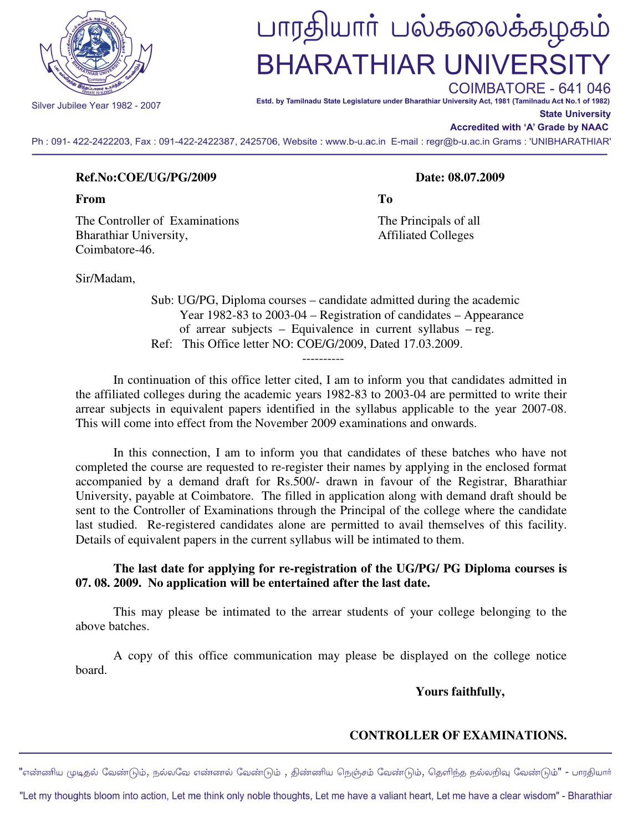

Silver Jubilee Year 1982 - 2007

# பாரதியாா் பல்கலைக்கழகம் **BHARATHIAR UNIVERSI**

COIMBATORE - 641 046 Estd. by Tamilnadu State Legislature under Bharathiar University Act, 1981 (Tamilnadu Act No.1 of 1982)

**State University** 

## **Accredited with 'A' Grade by NAAC**

Ph: 091-422-2422203, Fax: 091-422-2422387, 2425706, Website: www.b-u.ac.in E-mail: regr@b-u.ac.in Grams: 'UNIBHARATHIAR'

## **Ref.No:COE/UG/PG/2009 Date: 08.07.2009**

**From To** 

The Controller of Examinations The Principals of all Bharathiar University, and the extent of the Affiliated Colleges Coimbatore-46.

Sir/Madam,

 Sub: UG/PG, Diploma courses – candidate admitted during the academic Year 1982-83 to 2003-04 – Registration of candidates – Appearance of arrear subjects – Equivalence in current syllabus – reg. Ref: This Office letter NO: COE/G/2009, Dated 17.03.2009.

----------

 In continuation of this office letter cited, I am to inform you that candidates admitted in the affiliated colleges during the academic years 1982-83 to 2003-04 are permitted to write their arrear subjects in equivalent papers identified in the syllabus applicable to the year 2007-08. This will come into effect from the November 2009 examinations and onwards.

 In this connection, I am to inform you that candidates of these batches who have not completed the course are requested to re-register their names by applying in the enclosed format accompanied by a demand draft for Rs.500/- drawn in favour of the Registrar, Bharathiar University, payable at Coimbatore. The filled in application along with demand draft should be sent to the Controller of Examinations through the Principal of the college where the candidate last studied. Re-registered candidates alone are permitted to avail themselves of this facility. Details of equivalent papers in the current syllabus will be intimated to them.

## **The last date for applying for re-registration of the UG/PG/ PG Diploma courses is 07. 08. 2009. No application will be entertained after the last date.**

This may please be intimated to the arrear students of your college belonging to the above batches.

 A copy of this office communication may please be displayed on the college notice board.

 **Yours faithfully,** 

## **CONTROLLER OF EXAMINATIONS.**

"எண்ணிய முடிதல் வேண்டும், நல்லவே எண்ணல் வேண்டும் , திண்ணிய நெஞ்சம் வேண்டும், தெளிந்த நல்லறிவு வேண்டும்" - பாரதியார்

"Let my thoughts bloom into action, Let me think only noble thoughts, Let me have a valiant heart, Let me have a clear wisdom" - Bharathiar